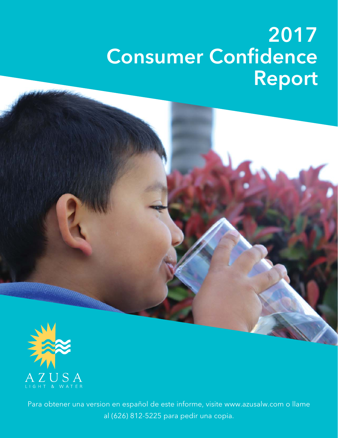# **2017 Consumer Confidence Report**





Para obtener una version en español de este informe, visite www.azusalw.com o llame al (626) 812-5225 para pedir una copia.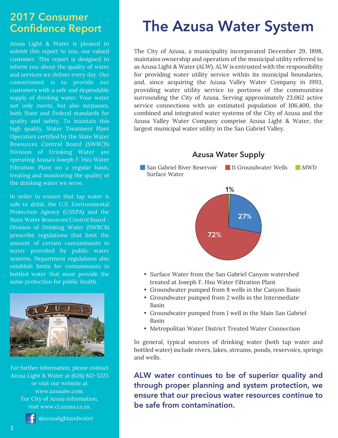### **2017 Consumer Confidence Report**

Azusa Light & Water is pleased to submit this report to you, our valued customer. This report is designed to inform you about the quality of water and services we deliver every day. Our commitment is to provide our customers with a safe and dependable supply of drinking water. Your water not only meets, but also surpasses, both State and Federal standards for quality and safety. To maintain this high quality, Water Treatment Plant Operators certified by the State Water Resources Control Board (SWRCB) Division of Drinking Water are operating Azusa's Joseph F. Hsu Water Filtration Plant on a regular basis, treating and monitoring the quality of the drinking water we serve.

In order to ensure that tap water is safe to drink, the U.S. Environmental Protection Agency (USEPA) and the State Water Resources Control Board - Division of Drinking Water (SWRCB) prescribe regulations that limit the amount of certain contaminants in water provided by public water systems. Department regulations also establish limits for contaminants in bottled water that must provide the same protection for public health.



For further information, please contact Azusa Light & Water at (626) 812-5225 or visit our website at www.azusalw.com. For City of Azusa information, visit www.ci.azusa.ca.us.



## **The Azusa Water System**

The City of Azusa, a municipality incorporated December 29, 1898, maintains ownership and operation of the municipal utility referred to as Azusa Light & Water (ALW). ALW is entrusted with the responsibility for providing water utility service within its municipal boundaries, and, since acquiring the Azusa Valley Water Company in 1993, providing water utility service to portions of the communities surrounding the City of Azusa. Serving approximately 23,062 active service connections with an estimated population of 106,400, the combined and integrated water systems of the City of Azusa and the Azusa Valley Water Company comprise Azusa Light & Water, the largest municipal water utility in the San Gabriel Valley.



- Surface Water from the San Gabriel Canyon watershed treated at Joseph F. Hsu Water Filtration Plant
- Groundwater pumped from 8 wells in the Canyon Basin
- Groundwater pumped from 2 wells in the Intermediate Basin
- Groundwater pumped from 1 well in the Main San Gabriel Basin
- Metropolitan Water District Treated Water Connection

In general, typical sources of drinking water (both tap water and bottled water) include rivers, lakes, streams, ponds, reservoirs, springs and wells.

**ALW water continues to be of superior quality and through proper planning and system protection, we ensure that our precious water resources continue to be safe from contamination.**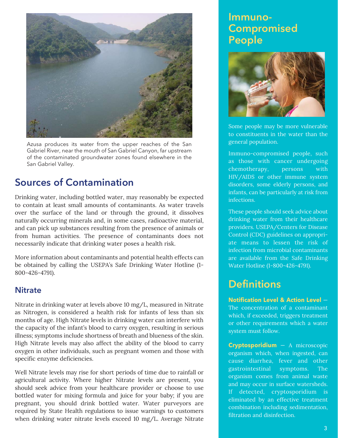

Azusa produces its water from the upper reaches of the San Gabriel River, near the mouth of San Gabriel Canyon, far upstream of the contaminated groundwater zones found elsewhere in the San Gabriel Valley.

### **Sources of Contamination**

Drinking water, including bottled water, may reasonably be expected to contain at least small amounts of contaminants. As water travels over the surface of the land or through the ground, it dissolves naturally occurring minerals and, in some cases, radioactive material, and can pick up substances resulting from the presence of animals or from human activities. The presence of contaminants does not necessarily indicate that drinking water poses a health risk.

More information about contaminants and potential health effects can be obtained by calling the USEPA's Safe Drinking Water Hotline (1- 800-426-4791).

#### **Nitrate**

Nitrate in drinking water at levels above 10 mg/L, measured in Nitrate as Nitrogen, is considered a health risk for infants of less than six months of age. High Nitrate levels in drinking water can interfere with the capacity of the infant's blood to carry oxygen, resulting in serious illness; symptoms include shortness of breath and blueness of the skin. High Nitrate levels may also affect the ability of the blood to carry oxygen in other individuals, such as pregnant women and those with specific enzyme deficiencies.

Well Nitrate levels may rise for short periods of time due to rainfall or agricultural activity. Where higher Nitrate levels are present, you should seek advice from your healthcare provider or choose to use bottled water for mixing formula and juice for your baby; if you are pregnant, you should drink bottled water. Water purveyors are required by State Health regulations to issue warnings to customers when drinking water nitrate levels exceed 10 mg/L. Average Nitrate

### **Immuno-Compromised People**



Some people may be more vulnerable to constituents in the water than the general population.

Immuno-compromised people, such as those with cancer undergoing chemotherapy, persons with HIV/AIDS or other immune system disorders, some elderly persons, and infants, can be particularly at risk from infections.

These people should seek advice about drinking water from their healthcare providers. USEPA/Centers for Disease Control (CDC) guidelines on appropriate means to lessen the risk of infection from microbial contaminants are available from the Safe Drinking Water Hotline (1-800-426-4791).

### **Definitions**

**Notification Level & Action Level** — The concentration of a contaminant which, if exceeded, triggers treatment or other requirements which a water system must follow.

**Cryptosporidium** — A microscopic organism which, when ingested, can cause diarrhea, fever and other gastrointestinal symptoms. The organism comes from animal waste and may occur in surface watersheds. If detected, cryptosporidium is eliminated by an effective treatment combination including sedimentation, filtration and disinfection.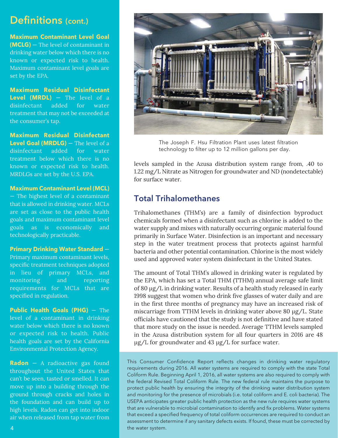### **Definitions (cont.)**

**Maximum Contaminant Level Goal (MCLG)** — The level of contaminant in drinking water below which there is no known or expected risk to health. Maximum contaminant level goals are set by the EPA.

**Maximum Residual Disinfectant Level (MRDL)** — The level of a disinfectant added for water treatment that may not be exceeded at the consumer's tap.

**Maximum Residual Disinfectant Level Goal (MRDLG)** — The level of a disinfectant added for water treatment below which there is no known or expected risk to health. MRDLGs are set by the U.S. EPA.

#### **Maximum Contaminant Level (MCL)**

— The highest level of a contaminant that is allowed in drinking water. MCLs are set as close to the public health goals and maximum contaminant level goals as is economically and technologically practicable.

#### **Primary Drinking Water Standard** —

Primary maximum contaminant levels, specific treatment techniques adopted in lieu of primary MCLs, and monitoring and reporting requirements for MCLs that are specified in regulation.

**Public Health Goals (PHG)** — The level of a contaminant in drinking water below which there is no known or expected risk to health. Public health goals are set by the California Environmental Protection Agency.

**Radon** — A radioactive gas found throughout the United States that can't be seen, tasted or smelled. It can move up into a building through the ground through cracks and holes in the foundation and can build up to high levels. Radon can get into indoor air when released from tap water from



The Joseph F. Hsu Filtration Plant uses latest filtration technology to filter up to 12 million gallons per day.

levels sampled in the Azusa distribution system range from, .40 to 1.22 mg/L Nitrate as Nitrogen for groundwater and ND (nondetectable) for surface water.

#### **Total Trihalomethanes**

Trihalomethanes (THM's) are a family of disinfection byproduct chemicals formed when a disinfectant such as chlorine is added to the water supply and mixes with naturally occurring organic material found primarily in Surface Water. Disinfection is an important and necessary step in the water treatment process that protects against harmful bacteria and other potential contamination. Chlorine is the most widely used and approved water system disinfectant in the United States.

The amount of Total THM's allowed in drinking water is regulated by the EPA, which has set a Total THM (TTHM) annual average safe limit of 80 μg/L in drinking water. Results of a health study released in early 1998 suggest that women who drink five glasses of water daily and are in the first three months of pregnancy may have an increased risk of miscarriage from TTHM levels in drinking water above 80 μg/L. State officials have cautioned that the study is not definitive and have stated that more study on the issue is needed. Average TTHM levels sampled in the Azusa distribution system for all four quarters in 2016 are 48 μg/L for groundwater and 43 μg/L for surface water.

This Consumer Confidence Report reflects changes in drinking water regulatory requirements during 2016. All water systems are required to comply with the state Total Coliform Rule. Beginning April 1, 2016, all water systems are also required to comply with the federal Revised Total Coliform Rule. The new federal rule maintains the purpose to protect public health by ensuring the integrity of the drinking water distribution system and monitoring for the presence of microbials (i.e. total coliform and E. coli bacteria). The USEPA anticipates greater public health protection as the new rule requires water systems that are vulnerable to microbial contamination to identify and fix problems. Water systems that exceed a specified frequency of total coliform occurrences are required to conduct an assessment to determine if any sanitary defects exists. If found, these must be corrected by the water system.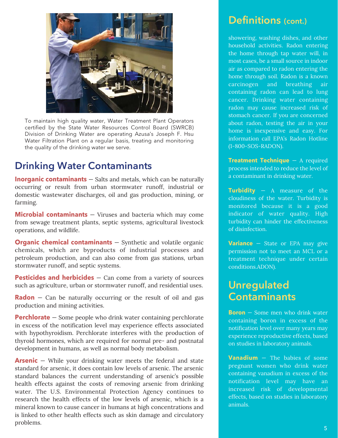

To maintain high quality water, Water Treatment Plant Operators certified by the State Water Resources Control Board (SWRCB) Division of Drinking Water are operating Azusa's Joseph F. Hsu Water Filtration Plant on a regular basis, treating and monitoring the quality of the drinking water we serve.

### **Drinking Water Contaminants**

**Inorganic contaminants** – Salts and metals, which can be naturally occurring or result from urban stormwater runoff, industrial or domestic wastewater discharges, oil and gas production, mining, or farming.

**Microbial contaminants** – Viruses and bacteria which may come from sewage treatment plants, septic systems, agricultural livestock operations, and wildlife.

**Organic chemical contaminants** – Synthetic and volatile organic chemicals, which are byproducts of industrial processes and petroleum production, and can also come from gas stations, urban stormwater runoff, and septic systems.

**Pesticides and herbicides** – Can come from a variety of sources such as agriculture, urban or stormwater runoff, and residential uses.

**Radon** – Can be naturally occurring or the result of oil and gas production and mining activities.

**Perchlorate** – Some people who drink water containing perchlorate in excess of the notification level may experience effects associated with hypothyroidism. Perchlorate interferes with the production of thyroid hormones, which are required for normal pre- and postnatal development in humans, as well as normal body metabolism.

**Arsenic** – While your drinking water meets the federal and state standard for arsenic, it does contain low levels of arsenic. The arsenic standard balances the current understanding of arsenic's possible health effects against the costs of removing arsenic from drinking water. The U.S. Environmental Protection Agency continues to research the health effects of the low levels of arsenic, which is a mineral known to cause cancer in humans at high concentrations and is linked to other health effects such as skin damage and circulatory problems.

### **Definitions (cont.)**

showering, washing dishes, and other household activities. Radon entering the home through tap water will, in most cases, be a small source in indoor air as compared to radon entering the home through soil. Radon is a known carcinogen and breathing air containing radon can lead to lung cancer. Drinking water containing radon may cause increased risk of stomach cancer. If you are concerned about radon, testing the air in your home is inexpensive and easy. For information call EPA's Radon Hotline (1-800-SOS-RADON).

**Treatment Technique** — A required process intended to reduce the level of a contaminant in drinking water.

**Turbidity** — A measure of the cloudiness of the water. Turbidity is monitored because it is a good indicator of water quality. High turbidity can hinder the effectiveness of disinfection.

**Variance** — State or EPA may give permission not to meet an MCL or a treatment technique under certain conditions.ADON).

### **Unregulated Contaminants**

**Boron** — Some men who drink water containing boron in excess of the notification level over many years may experience reproductive effects, based on studies in laboratory animals.

**Vanadium** — The babies of some pregnant women who drink water containing vanadium in excess of the notification level may have an increased risk of developmental effects, based on studies in laboratory animals.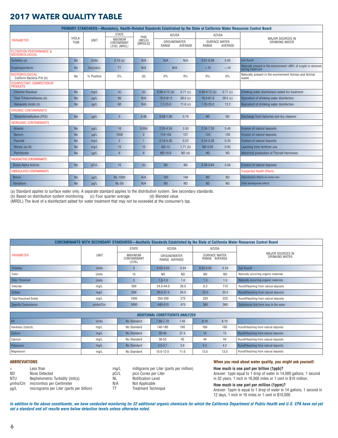#### **2017 WATER QUALITY TABLE**

| PRIMARY STANDARDS—Mandatory, Health-Related Standards Established by the State of California Water Resources Control Board |             |              |                                        |                   |                             |            |                               |           |                                                                                    |  |
|----------------------------------------------------------------------------------------------------------------------------|-------------|--------------|----------------------------------------|-------------------|-----------------------------|------------|-------------------------------|-----------|------------------------------------------------------------------------------------|--|
|                                                                                                                            | VIOLA-      |              | <b>STATE</b>                           | PHG               | <b>AZUSA</b>                |            | AZUSA                         |           | <b>MAJOR SOURCES IN</b><br>DRINKING WATER                                          |  |
| <b>PARAMETER</b>                                                                                                           | <b>TION</b> | <b>UNIT</b>  | MAXIMUM<br>CONTAMINANT<br>LEVEL (MRDL) | (MCLG)<br>[MRDLG] | <b>GROUNDWATER</b><br>RANGE | AVERAGE    | <b>SURFACE WATER</b><br>RANGE | AVERAGE   |                                                                                    |  |
| <b>FILTRATION PERFORMANCE &amp;</b><br>MICROBIOLOGICAL                                                                     |             |              |                                        |                   |                             |            |                               |           |                                                                                    |  |
| Turbidity (a)                                                                                                              | <b>No</b>   | <b>Units</b> | 0.10(a)                                | N/A               | N/A                         | N/A        | $0.01 - 0.09$                 | 0.05      | Soil Runoff                                                                        |  |
| Cryptosporidium                                                                                                            | <b>No</b>   | Oocysts/L    | TT                                     | N/A               | N/A                         |            | < .10                         | < .10     | Naturally present in the environment >99% of crypto is removed<br>during treatment |  |
| <b>MICROBIOLOGICAL</b><br>Coliform Bacteria P/A (b)                                                                        | No          | % Positive   | 5%                                     | (0)               | 0%                          | 0%         | $0\%$                         | $0\%$     | Naturally present in the environment Human and Animal<br>waste                     |  |
| <b>DISINFECTANT. DISINFECTION BY</b><br><b>PRODUCTS</b>                                                                    |             |              |                                        |                   |                             |            |                               |           |                                                                                    |  |
| <b>Chlorine Residual</b>                                                                                                   | <b>No</b>   | mg/L         | (4)                                    | (4)               | $0.69 - 0.72$ (b)           | 0.71(c)    | $0.69 - 0.72$ (b)             | 0.71(c)   | Drinking water disinfectant added for treatment                                    |  |
| Total Trihalomethanes (b)                                                                                                  | <b>No</b>   | $\mu$ g/L    | 80                                     | N/A               | 18.0-81.0                   | 38.5(c)    | 18.0-81.0                     | 38.5(c)   | Byproduct of drinking water disinfection                                           |  |
| Haloacetic Acids (b)                                                                                                       | <b>No</b>   | $\mu$ g/L    | 60                                     | N/A               | $7.2 - 25.0$                | 11.6 $(c)$ | 7.20-25.0                     | 13.2      | Byproduct of drinking water disinfection                                           |  |
| <b>ORGANIC CONTAMINANTS</b>                                                                                                |             |              |                                        |                   |                             |            |                               |           |                                                                                    |  |
| Tetrachloroethylene (PCE)                                                                                                  | <b>No</b>   | $\mu$ g/L    | $5\overline{)}$                        | 0.06              | $0.58 - 1.00$               | 0.79       | <b>ND</b>                     | <b>ND</b> | Discharge from factories and dry cleaners                                          |  |
| <b>INORGANIC CONTAMINANTS</b>                                                                                              |             |              |                                        |                   |                             |            |                               |           |                                                                                    |  |
| Arsenic                                                                                                                    | <b>No</b>   | $\mu$ g/L    | 10 <sup>1</sup>                        | 0.004             | $2.20 - 4.50$               | 3.30       | $2.30 - 7.20$                 | 5.40      | <b>Erosion of natural deposits</b>                                                 |  |
| <b>Barium</b>                                                                                                              | <b>No</b>   | $\mu$ g/L    | 1000                                   | $\overline{2}$    | 110-150                     | 127        | 120                           | 120       | <b>Erosion of natural deposits</b>                                                 |  |
| Fluoride                                                                                                                   | <b>No</b>   | mq/L         | $\overline{2}$                         |                   | $0.19 - 0.30$               | 0.23       | $0.34 - 0.36$                 | 0.35      | <b>Erosion of natural deposits</b>                                                 |  |
| Nitrate (as N)                                                                                                             | <b>No</b>   | mq/L         | 10                                     | 10                | <b>ND-12</b>                | 1.71(b)    | ND-0.92                       | 0.92      | Leaching from fertilizer use                                                       |  |
| Perchlorate                                                                                                                | <b>No</b>   | $\mu$ g/L    | $6\overline{6}$                        | $6\overline{6}$   | ND-10.0                     | $ND$ $(d)$ | <b>ND</b>                     | <b>ND</b> | Abnormal production of Thyroid Hormones                                            |  |
| <b>RADIOACTIVE CONTAMINANTS</b>                                                                                            |             |              |                                        |                   |                             |            |                               |           |                                                                                    |  |
| <b>Gross Alpha Activity</b>                                                                                                | <b>No</b>   | pCi/L        | 15                                     | (0)               | <b>ND</b>                   | <b>ND</b>  | $0.28 - 0.84$                 | 0.56      | <b>Erosion of natural deposits</b>                                                 |  |
| UNREGULATED CONTAMINANTS                                                                                                   |             |              |                                        |                   |                             |            |                               |           | <b>Suspected Health Effects</b>                                                    |  |
| <b>Boron</b>                                                                                                               | <b>No</b>   | $\mu$ g/L    | <b>NL-1000</b>                         | N/A               | 160                         | 160        | <b>ND</b>                     | <b>ND</b> | Reproductive effects on some men                                                   |  |
| Vanadium                                                                                                                   | <b>No</b>   | $\mu$ g/L    | <b>NL-50</b>                           | N/A               | <b>ND</b>                   | <b>ND</b>  | <b>ND</b>                     | <b>ND</b> | Child development effects                                                          |  |

(a) Standard applies to surface water only. A separate standard applies to the distribution system. See secondary standards.<br>(b) Based on distribution system monitoring. (c) Four quarter average. (d) Blended value.

(b) Based on distribution system monitoring. (c) Four quarter average.

(MRDL) The level of a disinfectant added for water treatment that may not be exceeded at the consumer's tap.

| <b>CONTAMINANTS WITH SECONDARY STANDARDS—Aesthetic Standards Established by the State of California Water Resources Control Board</b> |              |                                 |                              |           |                                |           |                                        |  |  |  |
|---------------------------------------------------------------------------------------------------------------------------------------|--------------|---------------------------------|------------------------------|-----------|--------------------------------|-----------|----------------------------------------|--|--|--|
|                                                                                                                                       |              | <b>STATE</b>                    | AZUSA                        |           | AZUSA                          |           |                                        |  |  |  |
| PARAMETER                                                                                                                             | UNIT         | MAXIMUM<br>CONTAMINANT<br>LEVEL | GROUNDWATER<br>RANGE AVERAGE |           | SURFACE WATER<br>RANGE AVERAGE |           | MAJOR SOURCES IN<br>DRINKING WATER     |  |  |  |
| Turbidity                                                                                                                             | <b>Units</b> |                                 | $0.03 - 0.65$                | 0.34      | $0.03 - 0.65$                  | 0.34      | Soil Runoff                            |  |  |  |
| Color                                                                                                                                 | Units        | 15                              | ND.                          | <b>ND</b> | <b>ND</b>                      | <b>ND</b> | Naturally occurring organic materials  |  |  |  |
| Odor Threshold                                                                                                                        | <b>Units</b> |                                 | $1.0 - 1.0$                  | 1.0       | 1.0                            | 1.0       | Naturally occurring organic materials  |  |  |  |
| Chloride                                                                                                                              | mg/L         | 500                             | 24.0-44.0                    | 36.0      | 6.3                            | 110       | Runoff/leaching from natural deposits  |  |  |  |
| Sulfate                                                                                                                               | mq/L         | 500                             | 30.0-37.0                    | 34.0      | 25.0                           | 35.0      | Runoff/leaching from natural deposits  |  |  |  |
| <b>Total Dissolved Solids</b>                                                                                                         | mg/L         | 1000                            | 250-300                      | 275       | 220                            | 220       | Runoff/leaching from natural deposits  |  |  |  |
| Specific Conductance                                                                                                                  | umho/Cm      | 1600                            | 440-510                      | 475       | 360                            | 360       | Substances that form jons in the water |  |  |  |

| ADDITIONAL CONSTITUENTS ANALYZED |              |             |               |      |      |      |                                       |  |  |
|----------------------------------|--------------|-------------|---------------|------|------|------|---------------------------------------|--|--|
| pH                               | <b>Units</b> | No Standard | 7.60-7.70     | 7.65 | 8.10 | 8.10 |                                       |  |  |
| Hardness (CaCo3)                 | mq/L         | No Standard | 140-180       | 160  | 160  | 160  | Runoff/leaching from natural deposits |  |  |
| Sodium                           | mq/L         | No Standard | $35 - 40$     | 37.5 | 15   | 15   | Runoff/leaching from natural deposits |  |  |
| Calcium                          | mq/L         | No Standard | 38-52         | 45   | 44   | 44   | Runoff/leaching from natural deposits |  |  |
| Potassium                        | mq/L         | No Standard | $3.5 - 3.7$   | 3.6  | 4.2  | 4.2  | Runoff/leaching from natural deposits |  |  |
| Magnesium                        | mq/L         | No Standard | $10.0 - 12.0$ | 11.0 | 13.0 | 13.0 | Runoff/leaching from natural deposits |  |  |

#### **ABBREVIATIONS**

| $\overline{\phantom{a}}$ | Less than                                |
|--------------------------|------------------------------------------|
| ND.                      | None Detected                            |
| NTU                      | Nephelometric Turbidity Unit(s)          |
| umho/Cm                  | micromhos per Centimeter                 |
| $\mu$ g/L                | micrograms per Liter (parts per billion) |

mg/L milligrams per Liter (parts per million)<br>pCi/L pico Curies per Liter pCi/L pico Curies per Liter<br>NL Notification Level NL Notification Level<br>N/A Not Applicable Not Applicable TT Treatment Technique

#### **When you read about water quality, you might ask yourself:**

**How much is one part per billion (1ppb)?**

Answer: 1ppb equal to 1 drop of water in 14,000 gallons, 1 second in 32 years, 1 inch in 16,000 miles or 1 cent in \$10 million.

#### **How much is one part per million (1ppm)?**

Answer: 1ppm is equal to 1 drop of water in 14 gallons, 1 second in 12 days, 1 inch in 16 miles or 1 cent in \$10,000.

**In addition to the above constituents, we have conducted monitoring for 32 additional organic chemicals for which the California Department of Public Health and U.S. EPA have not yet set a standard and all results were below detection levels unless otherwise noted.**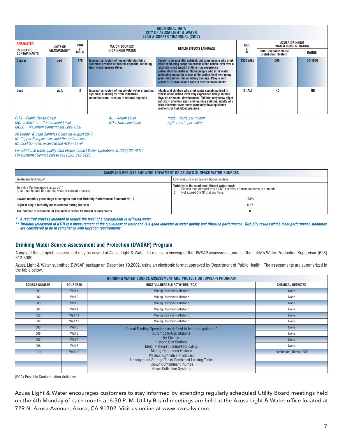| <b>ADDITIONAL DATA</b><br><b>CITY OF AZUSA LIGHT &amp; WATER</b><br><b>LEAD &amp; COPPER TRIANNUAL (2017)</b> |                                                                                                                                                                             |                   |                                                                                                                                     |                                                                                                                                                                                                                                                                                                                                                                                                                       |                 |                                                     |           |  |
|---------------------------------------------------------------------------------------------------------------|-----------------------------------------------------------------------------------------------------------------------------------------------------------------------------|-------------------|-------------------------------------------------------------------------------------------------------------------------------------|-----------------------------------------------------------------------------------------------------------------------------------------------------------------------------------------------------------------------------------------------------------------------------------------------------------------------------------------------------------------------------------------------------------------------|-----------------|-----------------------------------------------------|-----------|--|
| <b>PARAMETER</b><br>UNITS OF                                                                                  |                                                                                                                                                                             | PHG               | <b>MAJOR SOURCES</b>                                                                                                                |                                                                                                                                                                                                                                                                                                                                                                                                                       | <b>MCL</b>      | AZUSA DRINKING<br><b>WATER CONCENTRATION</b>        |           |  |
| INORGANIC<br><b>CONTAMINANTS</b>                                                                              | <b>MEASUREMENT</b>                                                                                                                                                          | or<br><b>MCLG</b> | IN DRINKING WATER                                                                                                                   | <b>HEALTH EFFECTS LANGUAGE</b>                                                                                                                                                                                                                                                                                                                                                                                        | or<br><b>AL</b> | 90th Percentile Value<br><b>Distribution System</b> | RANGE     |  |
| <b>Copper</b>                                                                                                 | $\mu$ g/L                                                                                                                                                                   | 170               | Internal corrosion of household plumbing<br>systems; erosion of natural deposits; leaching<br>from wood preservatives               | Copper is an essential nutrient, but some people who drink<br>water containing copper in excess of the action level over a<br>relatively short amount of time may experience<br>gastrointestinal distress. Some people who drink water<br>containing copper in excess of the action level over many<br>years may suffer liver or kidney damage. People with<br>Wilson's Disease should consult their personal doctor. | 1300 (AL)       | 690                                                 | 70-1030   |  |
| Lead                                                                                                          | $\mu$ g/L                                                                                                                                                                   | 2                 | Internal corrosion of household water plumbing<br>systems; discharges from industrial<br>manufacturers, erosion of natural deposits | Infants and children who drink water containing lead in<br>excess of the action level may experience delays in their<br>physical or mental development. Children may show slight<br>deficits in attention span and learning abilities. Adults who<br>drink this water over many years may develop kidney<br>problems or high blood pressure.                                                                          | 15 (AL)         | <b>ND</b>                                           | <b>ND</b> |  |
|                                                                                                               | PHG = Public Health Goals<br>$AL = Action Level$<br>$mg/L$ = parts per million<br>$\mu q/L$ = parts per billion<br>MCL = Maximum Contaminant Level<br>$ND = Non-detectable$ |                   |                                                                                                                                     |                                                                                                                                                                                                                                                                                                                                                                                                                       |                 |                                                     |           |  |

MCLG = Maximum Contaminant Level Goal

50 Copper & Lead Samples Collected August 2017 No Copper Samples exceeded the Action Level No Lead Samples exceeded the Action Level

For additional water quality data please contact Water Operations at (626) 334-0414.

For Customer Service please call (626) 812-5225.

| SAMPLING RESULTS SHOWING TREATMENT OF AZUSA'S SURFACE WATER SOURCES                         |                                                                                                                                                           |  |  |  |  |  |  |
|---------------------------------------------------------------------------------------------|-----------------------------------------------------------------------------------------------------------------------------------------------------------|--|--|--|--|--|--|
| Treatment Technique*                                                                        | Low-pressure membrane filtration system.                                                                                                                  |  |  |  |  |  |  |
| Turbidity Performance Standards**<br>(that must be met through the water treatment process) | Turbidity of the combined filtered water must:<br>Be less than or equal to 0.10 NTU in 95% of measurements in a month.<br>Not exceed 0.5 NTU at any time. |  |  |  |  |  |  |
| Lowest monthly percentage of samples that met Turbidity Performance Standard No. 1          | 100%                                                                                                                                                      |  |  |  |  |  |  |
| Highest single turbidity measurement during the year                                        | 0.07                                                                                                                                                      |  |  |  |  |  |  |
| The number of violations of any surface water treatment requirements                        |                                                                                                                                                           |  |  |  |  |  |  |

**\* A required process intended to reduce the level of a contaminant in drinking water.**

**\*\* Turbidity (measured in NTU) is a measurement of the cloudiness of water and is a good indicator of water quality and filtration performance. Turbidity results which meet performance standards are considered to be in compliance with filtration requirements.**

#### **Drinking Water Source Assessment and Protection (DWSAP) Program**

A copy of the complete assessment may be viewed at Azusa Light & Water. To request a viewing of the DWSAP assessment, contact the utility's Water Production Supervisor (626) 812-5080.

Azusa Light & Water submitted DWSAP package on December 19,2002, using an electronic format approved by Department of Public Health. The assessments are summarized in the table below.

| DRINKING WATER SOURCE ASSESSMENT AND PROTECTION (DWSAP) PROGRAM |                  |                                                                                                                |                           |  |  |  |  |
|-----------------------------------------------------------------|------------------|----------------------------------------------------------------------------------------------------------------|---------------------------|--|--|--|--|
| <b>SOURCE NUMBER</b>                                            | <b>SOURCE ID</b> | <b>MOST VULNERABLE ACTIVITIES (PCA)</b>                                                                        | <b>CHEMICAL DETECTED</b>  |  |  |  |  |
| 001                                                             | Well 1           | <b>Mining Operations-Historic</b>                                                                              | None                      |  |  |  |  |
| 002                                                             | Well 2           | <b>Mining Operations-Historic</b>                                                                              | None                      |  |  |  |  |
| 003                                                             | Well 3           | <b>Mining Operations-Historic</b>                                                                              | None                      |  |  |  |  |
| 004                                                             | Well 4           | Mining Operations-Historic                                                                                     | None                      |  |  |  |  |
| 033                                                             | Well 11          | <b>Mining Operations-Historic</b>                                                                              | None                      |  |  |  |  |
| 034                                                             | Well 12          | Mining Operations-Historic                                                                                     | None                      |  |  |  |  |
| 005                                                             | Well 5           | Animal Feeding Operations as defined in federal regulation 2                                                   | None                      |  |  |  |  |
| 006                                                             | Well 6           | Automobile-Gas Stations<br>Dry Cleaners<br><b>Historic Gas Stations</b><br>Metal Plating/Finishing/Fabricating | None                      |  |  |  |  |
| 007                                                             | Well 7           |                                                                                                                | <b>None</b>               |  |  |  |  |
| 008                                                             | Well 8           |                                                                                                                | None                      |  |  |  |  |
| 010                                                             | Well 10          | <b>Mining Operations-Historic</b>                                                                              | Perchlorate, Nitrate, PCE |  |  |  |  |
|                                                                 |                  | <b>Plastics/Synthetics Producers</b><br>Underground Storage Tanks-Confirmed Leaking Tanks                      |                           |  |  |  |  |
|                                                                 |                  | Known Contaminant Plumes                                                                                       |                           |  |  |  |  |
|                                                                 |                  | <b>Sewer Collection Systems</b>                                                                                |                           |  |  |  |  |

(PCA) Possible Contamination Activities

Azusa Light & Water encourages customers to stay informed by attending regularly scheduled Utility Board meetings held on the 4th Monday of each month at 6:30 P. M. Utility Board meetings are held at the Azusa Light & Water office located at 729 N. Azusa Avenue, Azusa, CA 91702. Visit us online at www.azusalw.com.